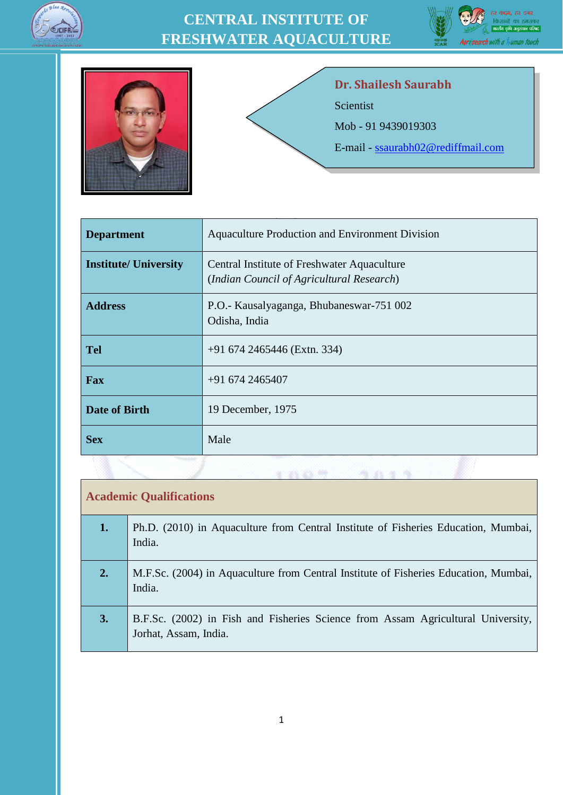





#### **Dr. Shailesh Saurabh**

Scientist

Mob - 91 9439019303

E-mail - [ssaurabh02@rediffmail.com](mailto:ssaurabh02@rediffmail.com)

| <b>Department</b>            | Aquaculture Production and Environment Division                                          |  |
|------------------------------|------------------------------------------------------------------------------------------|--|
| <b>Institute/ University</b> | Central Institute of Freshwater Aquaculture<br>(Indian Council of Agricultural Research) |  |
| <b>Address</b>               | P.O.- Kausalyaganga, Bhubaneswar-751 002<br>Odisha, India                                |  |
| <b>Tel</b>                   | +91 674 2465446 (Extn. 334)                                                              |  |
| Fax                          | $+916742465407$                                                                          |  |
| <b>Date of Birth</b>         | 19 December, 1975                                                                        |  |
| <b>Sex</b>                   | Male                                                                                     |  |

#### **Academic Qualifications**

| 1. | Ph.D. (2010) in Aquaculture from Central Institute of Fisheries Education, Mumbai,<br>India.              |
|----|-----------------------------------------------------------------------------------------------------------|
| 2. | M.F.Sc. (2004) in Aquaculture from Central Institute of Fisheries Education, Mumbai,<br>India.            |
| 3. | B.F.Sc. (2002) in Fish and Fisheries Science from Assam Agricultural University,<br>Jorhat, Assam, India. |

 $1.0.077799399$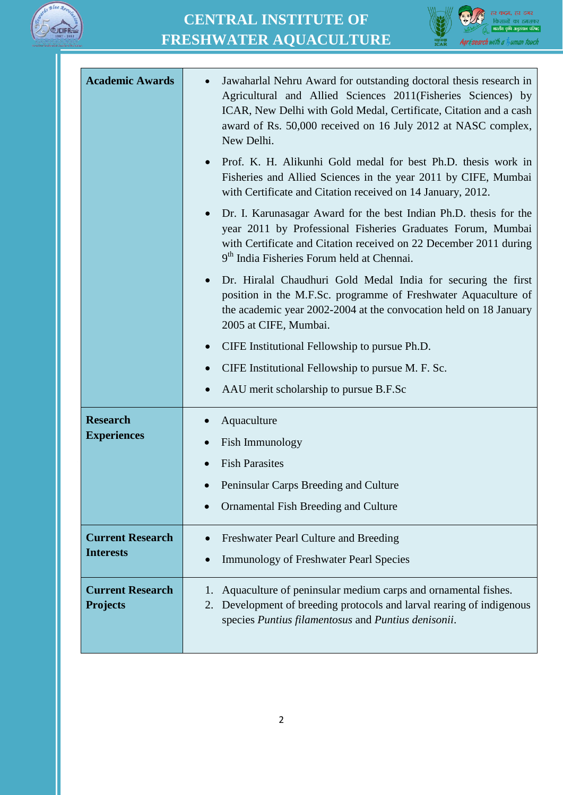



| <b>Academic Awards</b>                     | Jawaharlal Nehru Award for outstanding doctoral thesis research in<br>Agricultural and Allied Sciences 2011(Fisheries Sciences) by<br>ICAR, New Delhi with Gold Medal, Certificate, Citation and a cash<br>award of Rs. 50,000 received on 16 July 2012 at NASC complex,<br>New Delhi. |
|--------------------------------------------|----------------------------------------------------------------------------------------------------------------------------------------------------------------------------------------------------------------------------------------------------------------------------------------|
|                                            | Prof. K. H. Alikunhi Gold medal for best Ph.D. thesis work in<br>Fisheries and Allied Sciences in the year 2011 by CIFE, Mumbai<br>with Certificate and Citation received on 14 January, 2012.                                                                                         |
|                                            | Dr. I. Karunasagar Award for the best Indian Ph.D. thesis for the<br>year 2011 by Professional Fisheries Graduates Forum, Mumbai<br>with Certificate and Citation received on 22 December 2011 during<br>9 <sup>th</sup> India Fisheries Forum held at Chennai.                        |
|                                            | Dr. Hiralal Chaudhuri Gold Medal India for securing the first<br>position in the M.F.Sc. programme of Freshwater Aquaculture of<br>the academic year 2002-2004 at the convocation held on 18 January<br>2005 at CIFE, Mumbai.                                                          |
|                                            | CIFE Institutional Fellowship to pursue Ph.D.                                                                                                                                                                                                                                          |
|                                            | CIFE Institutional Fellowship to pursue M. F. Sc.                                                                                                                                                                                                                                      |
|                                            | AAU merit scholarship to pursue B.F.Sc                                                                                                                                                                                                                                                 |
| <b>Research</b><br><b>Experiences</b>      | Aquaculture<br>Fish Immunology<br>$\bullet$                                                                                                                                                                                                                                            |
|                                            | <b>Fish Parasites</b>                                                                                                                                                                                                                                                                  |
|                                            | Peninsular Carps Breeding and Culture                                                                                                                                                                                                                                                  |
|                                            | Ornamental Fish Breeding and Culture                                                                                                                                                                                                                                                   |
| <b>Current Research</b>                    | Freshwater Pearl Culture and Breeding                                                                                                                                                                                                                                                  |
| <b>Interests</b>                           | <b>Immunology of Freshwater Pearl Species</b>                                                                                                                                                                                                                                          |
| <b>Current Research</b><br><b>Projects</b> | Aquaculture of peninsular medium carps and ornamental fishes.<br>1.<br>Development of breeding protocols and larval rearing of indigenous<br>2.<br>species Puntius filamentosus and Puntius denisonii.                                                                                 |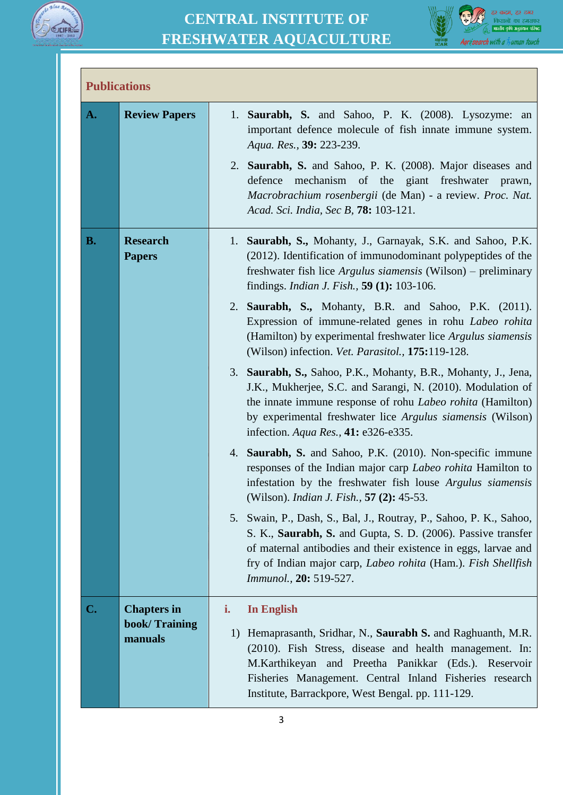

Г

#### **CENTRAL INSTITUTE OF FRESHWATER AQUACULTURE**



| <b>Publications</b> |                                  |                                                                                                                                                                                                                                                                                                         |
|---------------------|----------------------------------|---------------------------------------------------------------------------------------------------------------------------------------------------------------------------------------------------------------------------------------------------------------------------------------------------------|
| A.                  | <b>Review Papers</b>             | 1. Saurabh, S. and Sahoo, P. K. (2008). Lysozyme: an<br>important defence molecule of fish innate immune system.<br>Aqua. Res., 39: 223-239.                                                                                                                                                            |
|                     |                                  | 2. Saurabh, S. and Sahoo, P. K. (2008). Major diseases and<br>mechanism of the giant freshwater prawn,<br>defence<br>Macrobrachium rosenbergii (de Man) - a review. Proc. Nat.<br>Acad. Sci. India, Sec B, 78: 103-121.                                                                                 |
| <b>B.</b>           | <b>Research</b><br><b>Papers</b> | 1. Saurabh, S., Mohanty, J., Garnayak, S.K. and Sahoo, P.K.<br>(2012). Identification of immunodominant polypeptides of the<br>freshwater fish lice <i>Argulus siamensis</i> (Wilson) – preliminary<br>findings. <i>Indian J. Fish.</i> , <b>59 (1):</b> 103-106.                                       |
|                     |                                  | 2. Saurabh, S., Mohanty, B.R. and Sahoo, P.K. (2011).<br>Expression of immune-related genes in rohu Labeo rohita<br>(Hamilton) by experimental freshwater lice Argulus siamensis<br>(Wilson) infection. Vet. Parasitol., 175:119-128.                                                                   |
|                     |                                  | 3. Saurabh, S., Sahoo, P.K., Mohanty, B.R., Mohanty, J., Jena,<br>J.K., Mukherjee, S.C. and Sarangi, N. (2010). Modulation of<br>the innate immune response of rohu Labeo rohita (Hamilton)<br>by experimental freshwater lice Argulus siamensis (Wilson)<br>infection. Aqua Res., 41: e326-e335.       |
|                     |                                  | 4. Saurabh, S. and Sahoo, P.K. (2010). Non-specific immune<br>responses of the Indian major carp Labeo rohita Hamilton to<br>infestation by the freshwater fish louse Argulus siamensis<br>(Wilson). <i>Indian J. Fish.</i> , 57 (2): 45-53.                                                            |
|                     |                                  | 5. Swain, P., Dash, S., Bal, J., Routray, P., Sahoo, P. K., Sahoo,<br>S. K., Saurabh, S. and Gupta, S. D. (2006). Passive transfer<br>of maternal antibodies and their existence in eggs, larvae and<br>fry of Indian major carp, Labeo rohita (Ham.). Fish Shellfish<br><i>Immunol.</i> , 20: 519-527. |
| C.                  | <b>Chapters in</b>               | <b>In English</b><br>i.                                                                                                                                                                                                                                                                                 |
|                     | book/Training<br>manuals         | Hemaprasanth, Sridhar, N., Saurabh S. and Raghuanth, M.R.<br>1)<br>(2010). Fish Stress, disease and health management. In:<br>M.Karthikeyan and Preetha Panikkar (Eds.). Reservoir<br>Fisheries Management. Central Inland Fisheries research<br>Institute, Barrackpore, West Bengal. pp. 111-129.      |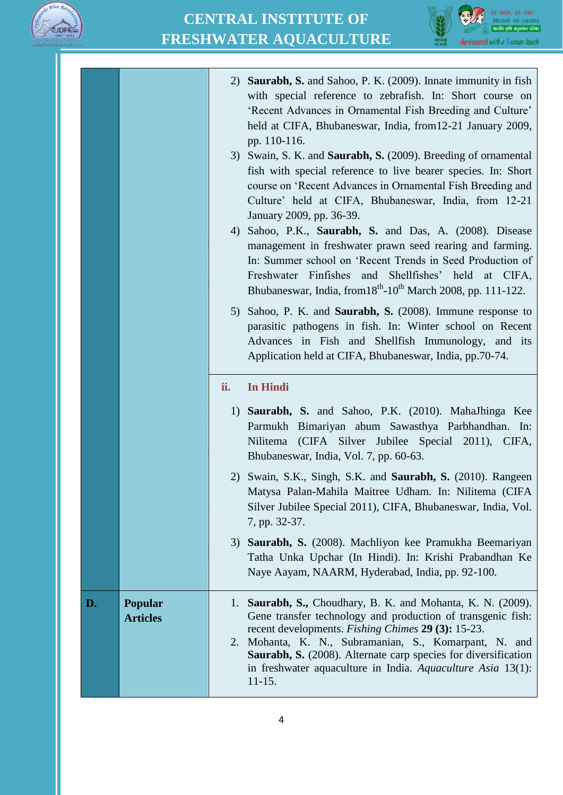



|    |                            | 4)  | 2) Saurabh, S. and Sahoo, P. K. (2009). Innate immunity in fish<br>with special reference to zebrafish. In: Short course on<br>'Recent Advances in Ornamental Fish Breeding and Culture'<br>held at CIFA, Bhubaneswar, India, from 12-21 January 2009,<br>pp. 110-116.<br>3) Swain, S. K. and <b>Saurabh, S.</b> (2009). Breeding of ornamental<br>fish with special reference to live bearer species. In: Short<br>course on 'Recent Advances in Ornamental Fish Breeding and<br>Culture' held at CIFA, Bhubaneswar, India, from 12-21<br>January 2009, pp. 36-39.<br>Sahoo, P.K., Saurabh, S. and Das, A. (2008). Disease<br>management in freshwater prawn seed rearing and farming.<br>In: Summer school on 'Recent Trends in Seed Production of<br>Freshwater Finfishes<br>and Shellfishes' held at CIFA,<br>Bhubaneswar, India, from 18 <sup>th</sup> -10 <sup>th</sup> March 2008, pp. 111-122.<br>5) Sahoo, P. K. and <b>Saurabh, S.</b> (2008). Immune response to<br>parasitic pathogens in fish. In: Winter school on Recent<br>Advances in Fish and Shellfish Immunology, and its<br>Application held at CIFA, Bhubaneswar, India, pp.70-74. |
|----|----------------------------|-----|----------------------------------------------------------------------------------------------------------------------------------------------------------------------------------------------------------------------------------------------------------------------------------------------------------------------------------------------------------------------------------------------------------------------------------------------------------------------------------------------------------------------------------------------------------------------------------------------------------------------------------------------------------------------------------------------------------------------------------------------------------------------------------------------------------------------------------------------------------------------------------------------------------------------------------------------------------------------------------------------------------------------------------------------------------------------------------------------------------------------------------------------------------|
|    |                            | ii. | <b>In Hindi</b>                                                                                                                                                                                                                                                                                                                                                                                                                                                                                                                                                                                                                                                                                                                                                                                                                                                                                                                                                                                                                                                                                                                                          |
|    |                            |     | 1) Saurabh, S. and Sahoo, P.K. (2010). MahaJhinga Kee<br>Parmukh Bimariyan abum Sawasthya Parbhandhan. In:<br>(CIFA Silver Jubilee Special 2011), CIFA,<br>Nilitema<br>Bhubaneswar, India, Vol. 7, pp. 60-63.                                                                                                                                                                                                                                                                                                                                                                                                                                                                                                                                                                                                                                                                                                                                                                                                                                                                                                                                            |
|    |                            |     | 2) Swain, S.K., Singh, S.K. and <b>Saurabh, S.</b> (2010). Rangeen<br>Matysa Palan-Mahila Maitree Udham. In: Nilitema (CIFA<br>Silver Jubilee Special 2011), CIFA, Bhubaneswar, India, Vol.<br>7, pp. 32-37.                                                                                                                                                                                                                                                                                                                                                                                                                                                                                                                                                                                                                                                                                                                                                                                                                                                                                                                                             |
|    |                            |     | 3) Saurabh, S. (2008). Machliyon kee Pramukha Beemariyan<br>Tatha Unka Upchar (In Hindi). In: Krishi Prabandhan Ke<br>Naye Aayam, NAARM, Hyderabad, India, pp. 92-100.                                                                                                                                                                                                                                                                                                                                                                                                                                                                                                                                                                                                                                                                                                                                                                                                                                                                                                                                                                                   |
| D. | Popular<br><b>Articles</b> | 1.  | Saurabh, S., Choudhary, B. K. and Mohanta, K. N. (2009).<br>Gene transfer technology and production of transgenic fish:<br>recent developments. Fishing Chimes 29 (3): 15-23.<br>2. Mohanta, K. N., Subramanian, S., Komarpant, N. and<br><b>Saurabh, S.</b> (2008). Alternate carp species for diversification<br>in freshwater aquaculture in India. Aquaculture Asia $13(1)$ :<br>$11-15.$                                                                                                                                                                                                                                                                                                                                                                                                                                                                                                                                                                                                                                                                                                                                                            |